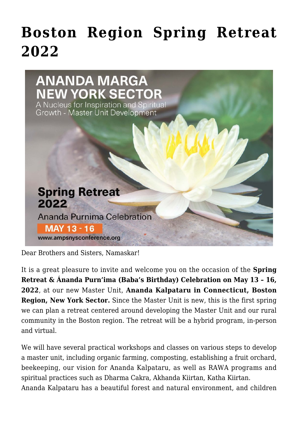## **[Boston Region Spring Retreat](https://crimsondawn.net/boston-region-spring-retreat-2022/) [2022](https://crimsondawn.net/boston-region-spring-retreat-2022/)**



Dear Brothers and Sisters, Namaskar!

It is a great pleasure to invite and welcome you on the occasion of the **Spring Retreat & Ánanda Purn'ima (Baba's Birthday) Celebration on May 13 – 16, 2022**, at our new Master Unit, **Ananda Kalpataru in Connecticut, Boston Region, New York Sector.** Since the Master Unit is new, this is the first spring we can plan a retreat centered around developing the Master Unit and our rural community in the Boston region. The retreat will be a hybrid program, in-person and virtual.

We will have several practical workshops and classes on various steps to develop a master unit, including organic farming, composting, establishing a fruit orchard, beekeeping, our vision for Ananda Kalpataru, as well as RAWA programs and spiritual practices such as Dharma Cakra, Akhanda Kiirtan, Katha Kiirtan.

Ananda Kalpataru has a beautiful forest and natural environment, and children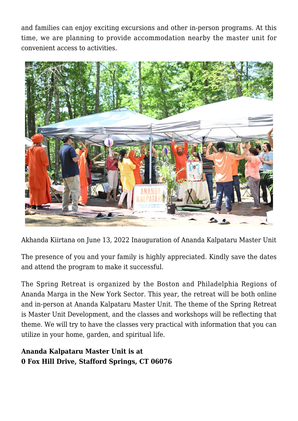and families can enjoy exciting excursions and other in-person programs. At this time, we are planning to provide accommodation nearby the master unit for convenient access to activities.



Akhanda Kiirtana on June 13, 2022 Inauguration of Ananda Kalpataru Master Unit

The presence of you and your family is highly appreciated. Kindly save the dates and attend the program to make it successful.

The Spring Retreat is organized by the Boston and Philadelphia Regions of Ananda Marga in the New York Sector. This year, the retreat will be both online and in-person at Ananda Kalpataru Master Unit. The theme of the Spring Retreat is Master Unit Development, and the classes and workshops will be reflecting that theme. We will try to have the classes very practical with information that you can utilize in your home, garden, and spiritual life.

**Ananda Kalpataru Master Unit is at 0 Fox Hill Drive, Stafford Springs, CT 06076**